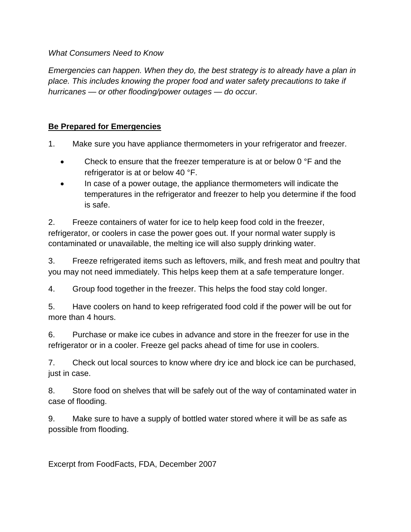### *What Consumers Need to Know*

*Emergencies can happen. When they do, the best strategy is to already have a plan in*  place. This includes knowing the proper food and water safety precautions to take if *hurricanes — or other flooding/power outages — do occur*.

## **Be Prepared for Emergencies**

- 1. Make sure you have appliance thermometers in your refrigerator and freezer.
	- Check to ensure that the freezer temperature is at or below 0 °F and the refrigerator is at or below 40 °F.
	- In case of a power outage, the appliance thermometers will indicate the temperatures in the refrigerator and freezer to help you determine if the food is safe.

2. Freeze containers of water for ice to help keep food cold in the freezer, refrigerator, or coolers in case the power goes out. If your normal water supply is contaminated or unavailable, the melting ice will also supply drinking water.

3. Freeze refrigerated items such as leftovers, milk, and fresh meat and poultry that you may not need immediately. This helps keep them at a safe temperature longer.

4. Group food together in the freezer. This helps the food stay cold longer.

5. Have coolers on hand to keep refrigerated food cold if the power will be out for more than 4 hours.

6. Purchase or make ice cubes in advance and store in the freezer for use in the refrigerator or in a cooler. Freeze gel packs ahead of time for use in coolers.

7. Check out local sources to know where dry ice and block ice can be purchased, just in case.

8. Store food on shelves that will be safely out of the way of contaminated water in case of flooding.

9. Make sure to have a supply of bottled water stored where it will be as safe as possible from flooding.

Excerpt from FoodFacts, FDA, December 2007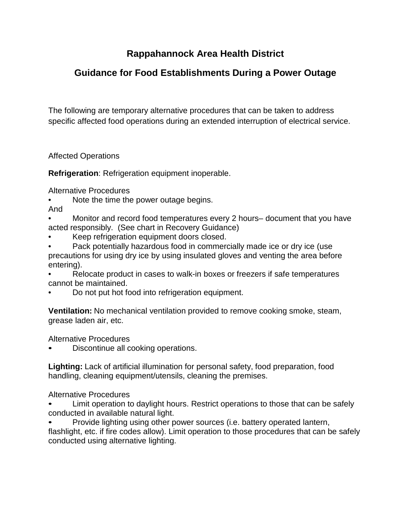# **Rappahannock Area Health District**

# **Guidance for Food Establishments During a Power Outage**

The following are temporary alternative procedures that can be taken to address specific affected food operations during an extended interruption of electrical service.

Affected Operations

**Refrigeration**: Refrigeration equipment inoperable.

Alternative Procedures

Note the time the power outage begins.

And

- Monitor and record food temperatures every 2 hours– document that you have acted responsibly. (See chart in Recovery Guidance)
- Keep refrigeration equipment doors closed.
- Pack potentially hazardous food in commercially made ice or dry ice (use precautions for using dry ice by using insulated gloves and venting the area before entering).
- Relocate product in cases to walk-in boxes or freezers if safe temperatures cannot be maintained.
- Do not put hot food into refrigeration equipment.

**Ventilation:** No mechanical ventilation provided to remove cooking smoke, steam, grease laden air, etc.

Alternative Procedures

• Discontinue all cooking operations.

**Lighting:** Lack of artificial illumination for personal safety, food preparation, food handling, cleaning equipment/utensils, cleaning the premises.

### Alternative Procedures

- Limit operation to daylight hours. Restrict operations to those that can be safely conducted in available natural light.
- Provide lighting using other power sources (i.e. battery operated lantern,

flashlight, etc. if fire codes allow). Limit operation to those procedures that can be safely conducted using alternative lighting.